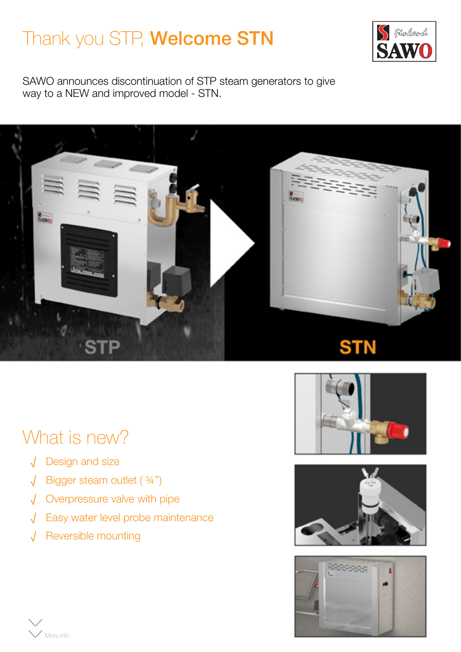## Thank you STP, **Welcome STN**



SAWO announces discontinuation of STP steam generators to give way to a NEW and improved model - STN.



## What is new?

- √ Design and size
- √ Bigger steam outlet ( 3/4'')
- √ Overpressure valve with pipe
- √ Easy water level probe maintenance
- √ Reversible mounting





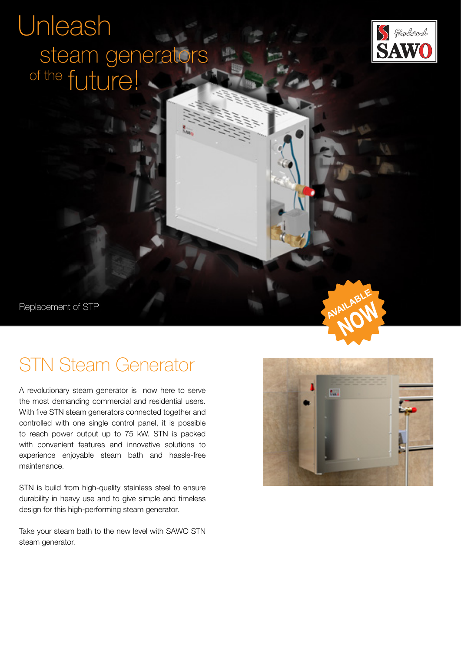# Unleash of the future! steam generators



Replacement of STP

## STN Steam Generator

A revolutionary steam generator is now here to serve the most demanding commercial and residential users. With five STN steam generators connected together and controlled with one single control panel, it is possible to reach power output up to 75 kW. STN is packed with convenient features and innovative solutions to experience enjoyable steam bath and hassle-free maintenance.

STN is build from high-quality stainless steel to ensure durability in heavy use and to give simple and timeless design for this high-performing steam generator.

Take your steam bath to the new level with SAWO STN steam generator.



AVAILABI